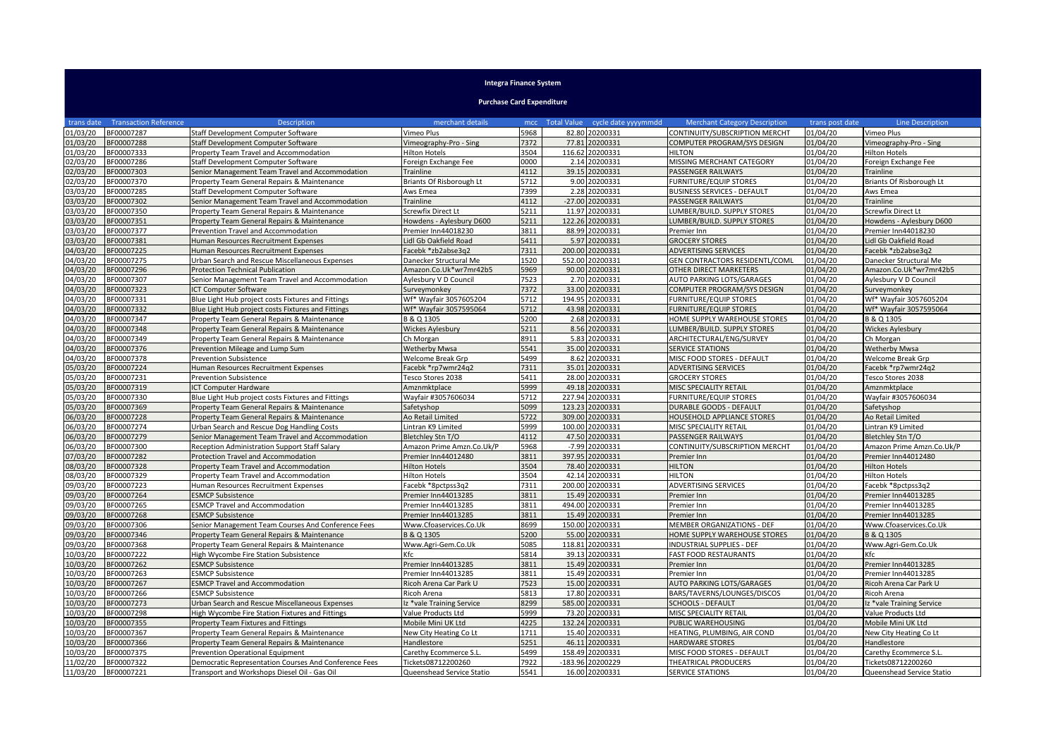## **Integra Finance System**

**Purchase Card Expenditure**

| trans date | <b>Transaction Reference</b> | <b>Description</b>                                    | merchant details          | mcc  |        | Total Value cycle date yyyymmdd | <b>Merchant Category Description</b> | trans post date | <b>Line Description</b>   |
|------------|------------------------------|-------------------------------------------------------|---------------------------|------|--------|---------------------------------|--------------------------------------|-----------------|---------------------------|
| 01/03/20   | BF00007287                   | Staff Development Computer Software                   | Vimeo Plus                | 5968 |        | 82.80 20200331                  | CONTINUITY/SUBSCRIPTION MERCHT       | 01/04/20        | Vimeo Plus                |
| 01/03/20   | BF00007288                   | Staff Development Computer Software                   | Vimeography-Pro - Sing    | 7372 | 77.81  | 20200331                        | COMPUTER PROGRAM/SYS DESIGN          | 01/04/20        | Vimeography-Pro - Sing    |
| 01/03/20   | BF00007333                   | Property Team Travel and Accommodation                | <b>Hilton Hotels</b>      | 3504 |        | 116.62 20200331                 | <b>HILTON</b>                        | 01/04/20        | <b>Hilton Hotels</b>      |
| 02/03/20   | BF00007286                   | Staff Development Computer Software                   | Foreign Exchange Fee      | 0000 |        | 2.14 20200331                   | MISSING MERCHANT CATEGORY            | 01/04/20        | Foreign Exchange Fee      |
| 02/03/20   | BF00007303                   | Senior Management Team Travel and Accommodation       | Trainline                 | 4112 |        | 39.15 20200331                  | <b>PASSENGER RAILWAYS</b>            | 01/04/20        | Trainline                 |
| 02/03/20   | BF00007370                   | Property Team General Repairs & Maintenance           | Briants Of Risborough Lt  | 5712 |        | 9.00 20200331                   | <b>FURNITURE/EQUIP STORES</b>        | 01/04/20        | Briants Of Risborough Lt  |
| 3/03/20    | BF00007285                   | Staff Development Computer Software                   | Aws Emea                  | 7399 |        | 2.28 20200331                   | <b>BUSINESS SERVICES - DEFAULT</b>   | 01/04/20        | Aws Emea                  |
| 3/03/20    | BF00007302                   | Senior Management Team Travel and Accommodation       | Trainline                 | 4112 |        | -27.00 20200331                 | <b>PASSENGER RAILWAYS</b>            | 01/04/20        | Trainline                 |
| 3/03/20    | BF00007350                   | Property Team General Repairs & Maintenance           | Screwfix Direct Lt        | 5211 |        | 11.97 20200331                  | LUMBER/BUILD. SUPPLY STORES          | 01/04/20        | Screwfix Direct Lt        |
| 03/03/20   | BF00007351                   | Property Team General Repairs & Maintenance           | Howdens - Aylesbury D600  | 5211 |        | 122.26 20200331                 | LUMBER/BUILD. SUPPLY STORES          | 01/04/20        | Howdens - Aylesbury D600  |
| 3/03/20    | BF00007377                   | Prevention Travel and Accommodation                   | Premier Inn44018230       | 3811 |        | 88.99 20200331                  | Premier Inn                          | 01/04/20        | Premier Inn44018230       |
| 3/03/20    | BF00007381                   | Human Resources Recruitment Expenses                  | Lidl Gb Oakfield Road     | 5411 |        | 5.97 20200331                   | <b>GROCERY STORES</b>                | 01/04/20        | Lidl Gb Oakfield Road     |
| 04/03/20   | BF00007225                   | Human Resources Recruitment Expenses                  | Facebk *zb2abse3q2        | 7311 |        | 200.00 20200331                 | ADVERTISING SERVICES                 | 01/04/20        | Facebk *zb2abse3q2        |
| 04/03/20   | BF00007275                   | Urban Search and Rescue Miscellaneous Expenses        | Danecker Structural Me    | 1520 |        | 552.00 20200331                 | GEN CONTRACTORS RESIDENTL/COML       | 01/04/20        | Danecker Structural Me    |
| 04/03/20   | BF00007296                   | Protection Technical Publication                      | Amazon.Co.Uk*wr7mr42b5    | 5969 |        | 90.00 20200331                  | OTHER DIRECT MARKETERS               | 01/04/20        | Amazon.Co.Uk*wr7mr42b5    |
| 04/03/20   | BF00007307                   | Senior Management Team Travel and Accommodation       | Aylesbury V D Council     | 7523 |        | 2.70 20200331                   | AUTO PARKING LOTS/GARAGES            | 01/04/20        | Aylesbury V D Council     |
| 04/03/20   | BF00007323                   | CT Computer Software                                  | Surveymonkey              | 7372 |        | 33.00 20200331                  | COMPUTER PROGRAM/SYS DESIGN          | 01/04/20        | Surveymonkey              |
| 04/03/20   | BF00007331                   | Blue Light Hub project costs Fixtures and Fittings    | Wf* Wayfair 3057605204    | 5712 |        | 194.95 20200331                 | <b>FURNITURE/EQUIP STORES</b>        | 01/04/20        | Wf* Wayfair 3057605204    |
| 04/03/20   | BF00007332                   | Blue Light Hub project costs Fixtures and Fittings    | Wf* Wavfair 3057595064    | 5712 |        | 43.98 20200331                  | <b>FURNITURE/EQUIP STORES</b>        | 01/04/20        | Wf* Wavfair 3057595064    |
| 04/03/20   | BF00007347                   | Property Team General Repairs & Maintenance           | B & Q 1305                | 5200 | 2.68   | 20200331                        | HOME SUPPLY WAREHOUSE STORES         | 01/04/20        | B & Q 1305                |
| 04/03/20   | BF00007348                   | Property Team General Repairs & Maintenance           | <b>Wickes Aylesbury</b>   | 5211 |        | 8.56 20200331                   | LUMBER/BUILD. SUPPLY STORES          | 01/04/20        | Wickes Aylesbury          |
| 14/03/20   | BF00007349                   | Property Team General Repairs & Maintenance           | Ch Morgan                 | 8911 |        | 5.83 20200331                   | ARCHITECTURAL/ENG/SURVEY             | 01/04/20        | Ch Morgan                 |
| 04/03/20   | BF00007376                   | Prevention Mileage and Lump Sum                       | <b>Wetherby Mwsa</b>      | 5541 |        | 35.00 20200331                  | <b>SERVICE STATIONS</b>              | 01/04/20        | <b>Wetherby Mwsa</b>      |
| 14/03/20   | BF00007378                   | <b>Prevention Subsistence</b>                         | Welcome Break Grp         | 5499 | 8.62   | 20200331                        | MISC FOOD STORES - DEFAULT           | 01/04/20        | Welcome Break Grp         |
| 05/03/20   | BF00007224                   | Human Resources Recruitment Expenses                  | Facebk *rp7wmr24q2        | 7311 |        | 35.01 20200331                  | <b>ADVERTISING SERVICES</b>          | 01/04/20        | Facebk *rp7wmr24q2        |
| 05/03/20   | BF00007231                   | Prevention Subsistence                                | Tesco Stores 2038         | 5411 |        | 28.00 20200331                  | <b>GROCERY STORES</b>                | 01/04/20        | Tesco Stores 2038         |
| 05/03/20   | BF00007319                   | <b>CT Computer Hardware</b>                           | Amznmktplace              | 5999 |        | 49.18 20200331                  | MISC SPECIALITY RETAIL               | 01/04/20        | Amznmktplace              |
| )5/03/20   | BF00007330                   | Blue Light Hub project costs Fixtures and Fittings    | Wayfair #3057606034       | 5712 | 227.94 | 20200331                        | <b>FURNITURE/EQUIP STORES</b>        | 01/04/20        | Wayfair #3057606034       |
| 05/03/20   | BF00007369                   | Property Team General Repairs & Maintenance           | Safetyshop                | 5099 | 123.23 | 20200331                        | <b>DURABLE GOODS - DEFAULT</b>       | 01/04/20        | Safetyshop                |
| 06/03/20   | BF00007228                   | Property Team General Repairs & Maintenance           | Ao Retail Limited         | 5722 |        | 309.00 20200331                 | HOUSEHOLD APPLIANCE STORES           | 01/04/20        | Ao Retail Limited         |
| 06/03/20   | BF00007274                   | Urban Search and Rescue Dog Handling Costs            | Lintran K9 Limited        | 5999 |        | 100.00 20200331                 | MISC SPECIALITY RETAIL               | 01/04/20        | Lintran K9 Limited        |
| 06/03/20   | BF00007279                   | Senior Management Team Travel and Accommodation       | Bletchley Stn T/O         | 4112 |        | 47.50 20200331                  | PASSENGER RAILWAYS                   | 01/04/20        | Bletchley Stn T/O         |
| 06/03/20   | BF00007300                   | Reception Administration Support Staff Salary         | Amazon Prime Amzn.Co.Uk/P | 5968 |        | -7.99 20200331                  | CONTINUITY/SUBSCRIPTION MERCHT       | 01/04/20        | Amazon Prime Amzn.Co.Uk/P |
| 07/03/20   | BF00007282                   | Protection Travel and Accommodation                   | Premier Inn44012480       | 3811 | 397.95 | 20200331                        | Premier Inn                          | 01/04/20        | Premier Inn44012480       |
| 08/03/20   | BF00007328                   | Property Team Travel and Accommodation                | <b>Hilton Hotels</b>      | 3504 |        | 78.40 20200331                  | <b>HILTON</b>                        | 01/04/20        | <b>Hilton Hotels</b>      |
| 08/03/20   | BF00007329                   | Property Team Travel and Accommodation                | Hilton Hotels             | 3504 |        | 42.14 20200331                  | <b>HILTON</b>                        | 01/04/20        | <b>Hilton Hotels</b>      |
| 09/03/20   | BF00007223                   | Human Resources Recruitment Expenses                  | Facebk *8pctpss3q2        | 7311 | 200.00 | 20200331                        | ADVERTISING SERVICES                 | 01/04/20        | Facebk *8pctpss3q2        |
| 09/03/20   | BF00007264                   | <b>ESMCP Subsistence</b>                              | Premier Inn44013285       | 3811 |        | 15.49 20200331                  | Premier Inn                          | 01/04/20        | Premier Inn44013285       |
| 09/03/20   | BF00007265                   | <b>ESMCP Travel and Accommodation</b>                 | Premier Inn44013285       | 3811 |        | 494.00 20200331                 | Premier Inn                          | 01/04/20        | Premier Inn44013285       |
| 09/03/20   | BF00007268                   | <b>ESMCP Subsistence</b>                              | Premier Inn44013285       | 3811 | 15.49  | 20200331                        | Premier Inn                          | 01/04/20        | Premier Inn44013285       |
| 09/03/20   | BF00007306                   | Senior Management Team Courses And Conference Fees    | Www.Cfoaservices.Co.Uk    | 8699 |        | 150.00 20200331                 | MEMBER ORGANIZATIONS - DEF           | 01/04/20        | Www.Cfoaservices.Co.Uk    |
| 09/03/20   | BF00007346                   | Property Team General Repairs & Maintenance           | B & Q 1305                | 5200 |        | 55.00 20200331                  | HOME SUPPLY WAREHOUSE STORES         | 01/04/20        | B & Q 1305                |
| 09/03/20   | BF00007368                   | Property Team General Repairs & Maintenance           | Www.Agri-Gem.Co.Uk        | 5085 |        | 118.81 20200331                 | <b>INDUSTRIAL SUPPLIES - DEF</b>     | 01/04/20        | Www.Agri-Gem.Co.Uk        |
| 10/03/20   | BF00007222                   | High Wycombe Fire Station Subsistence                 | Kfc                       | 5814 |        | 39.13 20200331                  | <b>FAST FOOD RESTAURANTS</b>         | 01/04/20        | Kfc                       |
| 10/03/20   | BF00007262                   | <b>ESMCP Subsistence</b>                              | Premier Inn44013285       | 3811 |        | 15.49 20200331                  | Premier Inn                          | 01/04/20        | Premier Inn44013285       |
| 10/03/20   | BF00007263                   | <b>ESMCP Subsistence</b>                              | Premier Inn44013285       | 3811 |        | 15.49 20200331                  | Premier Inn                          | 01/04/20        | Premier Inn44013285       |
| 10/03/20   | BF00007267                   | <b>ESMCP Travel and Accommodation</b>                 | Ricoh Arena Car Park U    | 7523 |        | 15.00 20200331                  | AUTO PARKING LOTS/GARAGES            | 01/04/20        | Ricoh Arena Car Park U    |
| 10/03/20   | BF00007266                   | <b>ESMCP Subsistence</b>                              | Ricoh Arena               | 5813 |        | 17.80 20200331                  | BARS/TAVERNS/LOUNGES/DISCOS          | 01/04/20        | Ricoh Arena               |
| 10/03/20   | BF00007273                   | Jrban Search and Rescue Miscellaneous Expenses        | Iz *vale Training Service | 8299 |        | 585.00 20200331                 | <b>SCHOOLS - DEFAULT</b>             | 01/04/20        | Iz *vale Training Service |
| 10/03/20   | BF00007298                   | High Wycombe Fire Station Fixtures and Fittings       | Value Products Ltd        | 5999 | 73.20  | 20200331                        | MISC SPECIALITY RETAIL               | 01/04/20        | Value Products Ltd        |
| 10/03/20   | BF00007355                   | Property Team Fixtures and Fittings                   | Mobile Mini UK Ltd        | 4225 |        | 132.24 20200331                 | PUBLIC WAREHOUSING                   | 01/04/20        | Mobile Mini UK Ltd        |
| 10/03/20   | BF00007367                   | Property Team General Repairs & Maintenance           | New City Heating Co Lt    | 1711 |        | 15.40 20200331                  | HEATING, PLUMBING, AIR COND          | 01/04/20        | New City Heating Co Lt    |
| 10/03/20   | BF00007366                   | Property Team General Repairs & Maintenance           | Handlestore               | 5251 | 46.11  | 20200331                        | <b>HARDWARE STORES</b>               | 01/04/20        | Handlestore               |
| 10/03/20   | BF00007375                   | Prevention Operational Equipment                      | Carethy Ecommerce S.L.    | 5499 |        | 158.49 20200331                 | MISC FOOD STORES - DEFAULT           | 01/04/20        | Carethy Ecommerce S.L.    |
| 11/02/20   | BF00007322                   | Democratic Representation Courses And Conference Fees | Tickets08712200260        | 7922 |        | -183.96 20200229                | THEATRICAL PRODUCERS                 | 01/04/20        | Tickets08712200260        |
| 11/03/20   | BF00007221                   | Transport and Workshops Diesel Oil - Gas Oil          | Queenshead Service Statio | 5541 |        | 16.00 20200331                  | <b>SERVICE STATIONS</b>              | 01/04/20        | Queenshead Service Statio |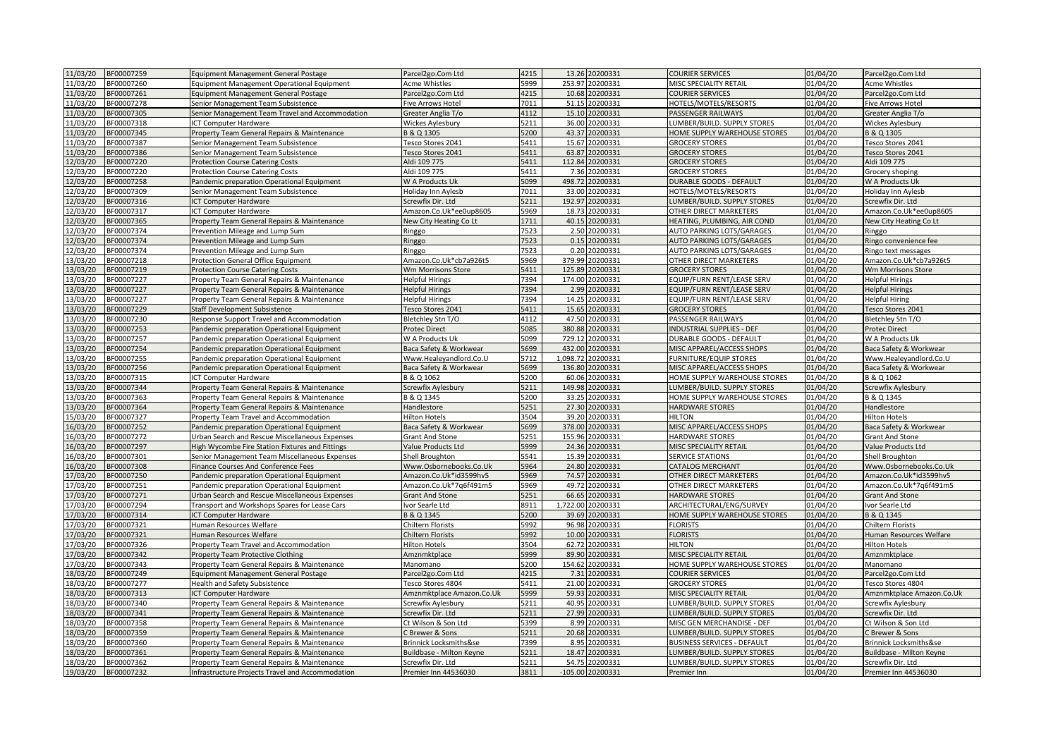| 11/03/20             | BF00007259               | Equipment Management General Postage                                                            | Parcel2go.Com Ltd                         | 4215         |                   | 13.26 20200331                    | <b>COURIER SERVICES</b>                         | 01/04/20             | Parcel2go.Com Ltd                         |
|----------------------|--------------------------|-------------------------------------------------------------------------------------------------|-------------------------------------------|--------------|-------------------|-----------------------------------|-------------------------------------------------|----------------------|-------------------------------------------|
| 11/03/20             | BF00007260               | Equipment Management Operational Equipment                                                      | Acme Whistles                             | 5999         |                   | 253.97 20200331                   | MISC SPECIALITY RETAIL                          | 01/04/20             | Acme Whistles                             |
| 11/03/20             | BF00007261               | Equipment Management General Postage                                                            | Parcel2go.Com Ltd                         | 4215         |                   | 10.68 20200331                    | <b>COURIER SERVICES</b>                         | 01/04/20             | Parcel2go.Com Ltd                         |
| 11/03/20             | BF00007278               | Senior Management Team Subsistence                                                              | Five Arrows Hotel                         | 7011         |                   | 51.15 20200331                    | HOTELS/MOTELS/RESORTS                           | 01/04/20             | <b>Five Arrows Hotel</b>                  |
| 11/03/20             | BF00007305               | Senior Management Team Travel and Accommodation                                                 | Greater Anglia T/o                        | 4112         |                   | 15.10 20200331                    | PASSENGER RAILWAYS                              | 01/04/20             | Greater Anglia T/o                        |
| 11/03/20             | BF00007318               | ICT Computer Hardware                                                                           | <b>Wickes Aylesbury</b>                   | 5211         |                   | 36.00 20200331                    | LUMBER/BUILD. SUPPLY STORES                     | 01/04/20             | Wickes Aylesbury                          |
| 11/03/20             | BF00007345               | Property Team General Repairs & Maintenance                                                     | B & Q 1305                                | 5200         |                   | 43.37 20200331                    | HOME SUPPLY WAREHOUSE STORES                    | 01/04/20             | B & Q 1305                                |
| 11/03/20             | BF00007387               | Senior Management Team Subsistence                                                              | Tesco Stores 2041                         | 5411         |                   | 15.67 20200331                    | <b>GROCERY STORES</b>                           | 01/04/20             | Tesco Stores 2041                         |
| 11/03/20             | 3F00007386               | Senior Management Team Subsistence                                                              | Tesco Stores 2041                         | 5411         | 63.87             | 20200331                          | <b>GROCERY STORES</b>                           | 01/04/20             | <b>Tesco Stores 2041</b>                  |
| 12/03/20             | BF00007220               | <b>Protection Course Catering Costs</b>                                                         | Aldi 109 775                              | 5411         |                   | 112.84 20200331                   | <b>GROCERY STORES</b>                           | 01/04/20             | Aldi 109 775                              |
| 12/03/20             | BF00007220               | <b>Protection Course Catering Costs</b>                                                         | Aldi 109 775                              | 5411         |                   | 7.36 20200331                     | <b>GROCERY STORES</b>                           | 01/04/20             | Grocery shoping                           |
| 12/03/20             | BF00007258               | Pandemic preparation Operational Equipment                                                      | W A Products Uk                           | 5099         | 498.72            | 20200331                          | <b>DURABLE GOODS - DEFAULT</b>                  | 01/04/20             | W A Products Uk                           |
| 12/03/20             | BF00007309               | Senior Management Team Subsistence                                                              | Holiday Inn Aylesb                        | 7011         | 33.00             | 20200331                          | HOTELS/MOTELS/RESORTS                           | 01/04/20             | Holiday Inn Aylesb                        |
| 12/03/20             | BF00007316               | CT Computer Hardware                                                                            | Screwfix Dir. Ltd                         | 5211         | 192.97            | 20200331                          | LUMBER/BUILD. SUPPLY STORES                     | 01/04/20             | Screwfix Dir. Ltd                         |
| 12/03/20             | BF00007317               | CT Computer Hardware                                                                            | Amazon.Co.Uk*ee0up8605                    | 5969         |                   | 18.73 20200331                    | OTHER DIRECT MARKETERS                          | 01/04/20             | Amazon.Co.Uk*ee0up8605                    |
| 12/03/20             | BF00007365               | Property Team General Repairs & Maintenance                                                     | New City Heating Co Lt                    | 1711         |                   | 40.15 20200331                    | HEATING, PLUMBING, AIR COND                     | 01/04/20             | New City Heating Co Lt                    |
| 12/03/20             | BF00007374               | Prevention Mileage and Lump Sum                                                                 | Ringgo                                    | 7523         |                   | 2.50 20200331                     | AUTO PARKING LOTS/GARAGES                       | 01/04/20             | Ringgo                                    |
| 12/03/20             | BF00007374               | Prevention Mileage and Lump Sum                                                                 | Ringgo                                    | 7523         |                   | 0.15 20200331                     | AUTO PARKING LOTS/GARAGES                       | 01/04/20             | Ringo convenience fee                     |
| 12/03/20             | BF00007374               | Prevention Mileage and Lump Sum                                                                 | Ringgo                                    | 7523         |                   | 0.20 20200331                     | <b>AUTO PARKING LOTS/GARAGES</b>                | 01/04/20             | Ringo text messages                       |
| 13/03/20             | BF00007218               | Protection General Office Equipment                                                             | Amazon.Co.Uk*cb7a926t5                    | 5969         |                   | 379.99 20200331                   | OTHER DIRECT MARKETERS                          | 01/04/20             | Amazon.Co.Uk*cb7a926t5                    |
| 13/03/20             | BF00007219               | <b>Protection Course Catering Costs</b>                                                         | Wm Morrisons Store                        | 5411         |                   | 125.89 20200331                   | <b>GROCERY STORES</b>                           | 01/04/20             | Wm Morrisons Store                        |
| 13/03/20             | BF00007227               | Property Team General Repairs & Maintenance                                                     | <b>Helpful Hirings</b>                    | 7394         |                   | 174.00 20200331                   | EQUIP/FURN RENT/LEASE SERV                      | 01/04/20             | <b>Helpful Hirings</b>                    |
| 13/03/20             | BF00007227               | Property Team General Repairs & Maintenance                                                     | <b>Helpful Hirings</b>                    | 7394         | 2.99              | 20200331                          | EQUIP/FURN RENT/LEASE SERV                      | 01/04/20             | <b>Helpful Hirings</b>                    |
| 13/03/20             | BF00007227               | Property Team General Repairs & Maintenance                                                     | <b>Helpful Hirings</b>                    | 7394         | 14.25             | 20200331                          | EQUIP/FURN RENT/LEASE SERV                      | $\frac{1}{01}/04/20$ | <b>Helpful Hiring</b>                     |
| 13/03/20             | BF00007229               | Staff Development Subsistence                                                                   | Tesco Stores 2041                         | 5411         | 15.65             | 20200331                          | <b>GROCERY STORES</b>                           | 01/04/20             | Tesco Stores 2041                         |
| 13/03/20             | BF00007230               | Response Support Travel and Accommodation                                                       | Bletchley Stn T/O                         | 4112         | 47.50             | 20200331                          | PASSENGER RAILWAYS                              | 01/04/20             | Bletchley Stn T/O                         |
| 13/03/20             | BF00007253               | Pandemic preparation Operational Equipment                                                      | Protec Direct                             | 5085         |                   | 380.88 20200331                   | INDUSTRIAL SUPPLIES - DEF                       | 01/04/20             | Protec Direct                             |
| 13/03/20             | BF00007257               | Pandemic preparation Operational Equipment                                                      | W A Products Uk                           | 5099         |                   | 729.12 20200331                   | <b>DURABLE GOODS - DEFAULT</b>                  | 01/04/20             | W A Products Uk                           |
| 13/03/20             | BF00007254               | Pandemic preparation Operational Equipment                                                      | Baca Safety & Workwear                    | 5699         | 432.00            | 20200331                          | MISC APPAREL/ACCESS SHOPS                       | 01/04/20             | Baca Safety & Workwear                    |
| 13/03/20             | BF00007255               | Pandemic preparation Operational Equipment                                                      | Www.Healeyandlord.Co.U                    | 5712         |                   | 1,098.72 20200331                 | <b>FURNITURE/EQUIP STORES</b>                   | 01/04/20             | Www.Healeyandlord.Co.U                    |
| 13/03/20             | BF00007256               | Pandemic preparation Operational Equipment                                                      | Baca Safety & Workwear                    | 5699         | 136.80            | 20200331                          | MISC APPAREL/ACCESS SHOPS                       | 01/04/20             | Baca Safety & Workwear                    |
| 13/03/20             | BF00007315               | CT Computer Hardware                                                                            | B & Q 1062                                | 5200         |                   | 60.06 20200331                    | HOME SUPPLY WAREHOUSE STORES                    | 01/04/20             | B & Q 1062                                |
| 13/03/20             | BF00007344               | Property Team General Repairs & Maintenance                                                     | Screwfix Aylesbury                        | 5211         | 149.98            | 20200331                          | LUMBER/BUILD. SUPPLY STORES                     | 01/04/20             | Screwfix Aylesbury                        |
| 13/03/20             |                          |                                                                                                 |                                           |              |                   |                                   |                                                 |                      |                                           |
|                      |                          |                                                                                                 |                                           |              |                   |                                   |                                                 |                      |                                           |
|                      | BF00007363               | Property Team General Repairs & Maintenance                                                     | B & Q 1345                                | 5200         |                   | 33.25 20200331                    | HOME SUPPLY WAREHOUSE STORES                    | 01/04/20             | B & Q 1345                                |
| 13/03/20             | BF00007364               | Property Team General Repairs & Maintenance                                                     | Handlestore                               | 5251         |                   | 27.30 20200331                    | HARDWARE STORES                                 | 01/04/20             | Handlestore                               |
| 15/03/20             | BF00007327               | <b>Property Team Travel and Accommodation</b>                                                   | <b>Hilton Hotels</b>                      | 3504         | 39.20             | 20200331                          | <b>HILTON</b>                                   | 01/04/20             | <b>Hilton Hotels</b>                      |
| 16/03/20             | BF00007252               | Pandemic preparation Operational Equipment                                                      | Baca Safety & Workwear                    | 5699         |                   | 378.00 20200331                   | MISC APPAREL/ACCESS SHOPS                       | 01/04/20             | Baca Safety & Workwear                    |
| 16/03/20             | BF00007272               | Urban Search and Rescue Miscellaneous Expenses                                                  | <b>Grant And Stone</b>                    | 5251         |                   | 155.96 20200331                   | <b>HARDWARE STORES</b>                          | 01/04/20             | <b>Grant And Stone</b>                    |
| 16/03/20             | BF00007297               | High Wycombe Fire Station Fixtures and Fittings                                                 | Value Products Ltd                        | 5999         |                   | 24.36 20200331                    | MISC SPECIALITY RETAIL                          | 01/04/20             | Value Products Ltd                        |
| 16/03/20             | BF00007301               | Senior Management Team Miscellaneous Expenses                                                   | Shell Broughton                           | 5541         |                   | 15.39 20200331                    | <b>SERVICE STATIONS</b>                         | 01/04/20             | Shell Broughton                           |
| 16/03/20             | BF00007308               | inance Courses And Conference Fees                                                              | Www.Osbornebooks.Co.Uk                    | 5964         | 24.80             | 20200331                          | CATALOG MERCHANT                                | 01/04/20             | Www.Osbornebooks.Co.Uk                    |
| 17/03/20             | BF00007250               | Pandemic preparation Operational Equipment                                                      | Amazon.Co.Uk*id3599hv5                    | 5969         |                   | 74.57 20200331                    | OTHER DIRECT MARKETERS                          | 01/04/20             | Amazon.Co.Uk*id3599hv5                    |
| 17/03/20             | BF00007251               | Pandemic preparation Operational Equipment                                                      | Amazon.Co.Uk*7q6f491m5                    | 5969         |                   | 49.72 20200331                    | OTHER DIRECT MARKETERS                          | 01/04/20             | Amazon.Co.Uk*7q6f491m5                    |
| 17/03/20<br>17/03/20 | BF00007271<br>BF00007294 | Urban Search and Rescue Miscellaneous Expenses                                                  | <b>Grant And Stone</b>                    | 5251<br>8911 | 66.65<br>1.722.00 | 20200331<br>20200331              | <b>HARDWARE STORES</b>                          | 01/04/20             | <b>Grant And Stone</b>                    |
|                      |                          | Transport and Workshops Spares for Lease Cars                                                   | Ivor Searle Ltd                           |              |                   |                                   | ARCHITECTURAL/ENG/SURVEY                        | 01/04/20             | Ivor Searle Ltd                           |
| 17/03/20<br>17/03/20 | BF00007314<br>BF00007321 | CT Computer Hardware<br>Human Resources Welfare                                                 | B & Q 1345<br>Chiltern Florists           | 5200<br>5992 | 39.69             | 20200331<br>96.98 20200331        | HOME SUPPLY WAREHOUSE STORES<br><b>FLORISTS</b> | 01/04/20<br>01/04/20 | B & Q 1345<br>Chiltern Florists           |
|                      |                          |                                                                                                 |                                           |              |                   |                                   |                                                 |                      |                                           |
| 17/03/20             | BF00007321               | Human Resources Welfare                                                                         | Chiltern Florists                         | 5992         |                   | 10.00 20200331                    | <b>FLORISTS</b>                                 | 01/04/20             | Human Resources Welfare                   |
| 17/03/20             | BF00007326               | Property Team Travel and Accommodation                                                          | <b>Hilton Hotels</b>                      | 3504         |                   | 62.72 20200331                    | <b>HILTON</b>                                   | 01/04/20             | <b>Hilton Hotels</b>                      |
| 17/03/20             | BF00007342               | <b>Property Team Protective Clothing</b>                                                        | Amznmktplace                              | 5999         | 89.90             | 20200331                          | MISC SPECIALITY RETAIL                          | 01/04/20             | Amznmktplace                              |
| 17/03/20             | BF00007343               | Property Team General Repairs & Maintenance                                                     | Manomano                                  | 200          | 154.62            | 20200331                          | HOME SUPPLY WAREHOUSE STORES                    | 01/04/20             | Manomano                                  |
| 18/03/20             | BF00007249               | <b>Equipment Management General Postage</b>                                                     | Parcel2go.Com Ltd                         | 4215         | 7.31              | 20200331                          | <b>COURIER SERVICES</b>                         | 01/04/20             | Parcel2go.Com Ltd                         |
| 18/03/20             | BF00007277               | Health and Safety Subsistence                                                                   | Tesco Stores 4804                         | 5411         | 59.93             | 21.00 20200331                    | <b>GROCERY STORES</b>                           | 01/04/20             | Tesco Stores 4804                         |
| 18/03/20             | BF00007313               | CT Computer Hardware                                                                            | Amznmktplace Amazon.Co.Uk                 | 5999         |                   | 20200331                          | MISC SPECIALITY RETAIL                          | 01/04/20             | Amznmktplace Amazon.Co.Uk                 |
| 18/03/20             | BF00007340               | Property Team General Repairs & Maintenance                                                     | Screwfix Aylesbury                        | 5211         |                   | 40.95 20200331                    | LUMBER/BUILD. SUPPLY STORES                     | 01/04/20             | Screwfix Aylesbury                        |
| 18/03/20             | BF00007341               | Property Team General Repairs & Maintenance                                                     | Screwfix Dir. Ltd                         | 5211         | 27.99             | 20200331                          | <b>LUMBER/BUILD. SUPPLY STORES</b>              | 01/04/20             | Screwfix Dir. Ltd                         |
| 18/03/20             | BF00007358               | Property Team General Repairs & Maintenance                                                     | Ct Wilson & Son Ltd                       | 399          | 8.99              | 20200331                          | MISC GEN MERCHANDISE - DEF                      | 01/04/20             | Ct Wilson & Son Ltd                       |
| 18/03/20             | BF00007359               | Property Team General Repairs & Maintenance                                                     | C Brewer & Sons                           | 5211         |                   | 20.68 20200331                    | LUMBER/BUILD. SUPPLY STORES                     | 01/04/20             | C Brewer & Sons                           |
| 18/03/20             | BF00007360               | Property Team General Repairs & Maintenance                                                     | Brinnick Locksmiths&se                    | 7399         |                   | 8.95 20200331                     | <b>BUSINESS SERVICES - DEFAULT</b>              | 01/04/20             | <b>Brinnick Locksmiths&amp;se</b>         |
| 18/03/20             | BF00007361               | Property Team General Repairs & Maintenance                                                     | Buildbase - Milton Keyne                  | 5211         |                   | 18.47 20200331                    | LUMBER/BUILD. SUPPLY STORES                     | 01/04/20             | Buildbase - Milton Keyne                  |
| 18/03/20<br>19/03/20 | BF00007362<br>BF00007232 | Property Team General Repairs & Maintenance<br>Infrastructure Projects Travel and Accommodation | Screwfix Dir. Ltd<br>Premier Inn 44536030 | 5211<br>3811 |                   | 54.75 20200331<br>105.00 20200331 | LUMBER/BUILD, SUPPLY STORES<br>Premier Inn      | 01/04/20<br>01/04/20 | Screwfix Dir. Ltd<br>Premier Inn 44536030 |